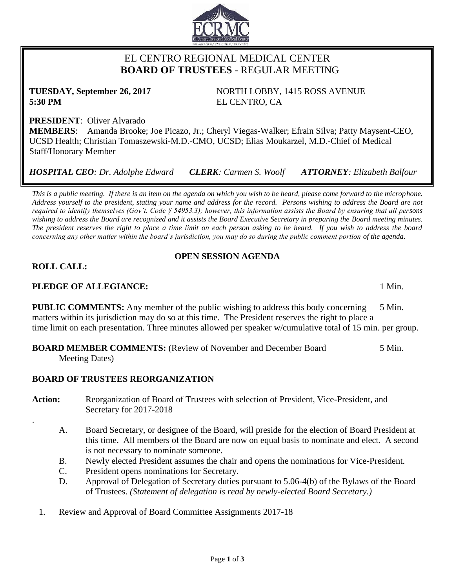# EL CENTRO REGIONAL MEDICAL CENTER  **BOARD OF TRUSTEES** - REGULAR MEETING

**5:30 PM** EL CENTRO, CA

**PRESIDENT**: Oliver Alvarado **MEMBERS**: Amanda Brooke; Joe Picazo, Jr.; Cheryl Viegas-Walker; Efrain Silva; Patty Maysent-CEO, UCSD Health; Christian Tomaszewski-M.D.-CMO, UCSD; Elias Moukarzel, M.D.-Chief of Medical Staff/Honorary Member

*HOSPITAL CEO: Dr. Adolphe Edward CLERK: Carmen S. Woolf ATTORNEY: Elizabeth Balfour*

*This is a public meeting. If there is an item on the agenda on which you wish to be heard, please come forward to the microphone. Address yourself to the president, stating your name and address for the record. Persons wishing to address the Board are not required to identify themselves (Gov't. Code § 54953.3); however, this information assists the Board by ensuring that all persons wishing to address the Board are recognized and it assists the Board Executive Secretary in preparing the Board meeting minutes. The president reserves the right to place a time limit on each person asking to be heard. If you wish to address the board concerning any other matter within the board's jurisdiction, you may do so during the public comment portion of the agenda.*

## **OPEN SESSION AGENDA**

## **ROLL CALL:**

.

## **PLEDGE OF ALLEGIANCE:** 1 Min.

**PUBLIC COMMENTS:** Any member of the public wishing to address this body concerning 5 Min. matters within its jurisdiction may do so at this time. The President reserves the right to place a time limit on each presentation. Three minutes allowed per speaker w/cumulative total of 15 min. per group.

#### **BOARD MEMBER COMMENTS:** (Review of November and December Board 5 Min. Meeting Dates)

## **BOARD OF TRUSTEES REORGANIZATION**

- Action: Reorganization of Board of Trustees with selection of President, Vice-President, and Secretary for 2017-2018
	- A. Board Secretary, or designee of the Board, will preside for the election of Board President at this time. All members of the Board are now on equal basis to nominate and elect. A second is not necessary to nominate someone.
	- B. Newly elected President assumes the chair and opens the nominations for Vice-President.
	- C. President opens nominations for Secretary.
	- D. Approval of Delegation of Secretary duties pursuant to 5.06-4(b) of the Bylaws of the Board of Trustees. *(Statement of delegation is read by newly-elected Board Secretary.)*
	- 1. Review and Approval of Board Committee Assignments 2017-18

**TUESDAY, September 26, 2017** NORTH LOBBY, 1415 ROSS AVENUE

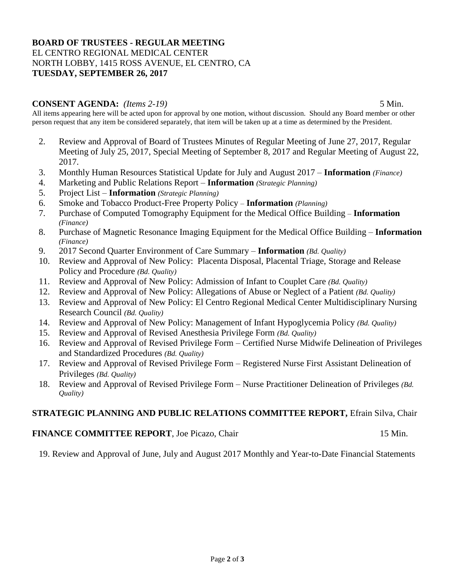#### **BOARD OF TRUSTEES - REGULAR MEETING** EL CENTRO REGIONAL MEDICAL CENTER NORTH LOBBY, 1415 ROSS AVENUE, EL CENTRO, CA **TUESDAY, SEPTEMBER 26, 2017**

#### **CONSENT AGENDA:** *(Items 2-19)* 5 Min.

All items appearing here will be acted upon for approval by one motion, without discussion. Should any Board member or other person request that any item be considered separately, that item will be taken up at a time as determined by the President.

- 2. Review and Approval of Board of Trustees Minutes of Regular Meeting of June 27, 2017, Regular Meeting of July 25, 2017, Special Meeting of September 8, 2017 and Regular Meeting of August 22, 2017.
- 3. Monthly Human Resources Statistical Update for July and August 2017 **Information** *(Finance)*
- 4. Marketing and Public Relations Report **Information** *(Strategic Planning)*
- 5. Project List **Information** *(Strategic Planning)*
- 6. Smoke and Tobacco Product-Free Property Policy **Information** *(Planning)*
- 7. Purchase of Computed Tomography Equipment for the Medical Office Building **Information** *(Finance)*
- 8. Purchase of Magnetic Resonance Imaging Equipment for the Medical Office Building **Information** *(Finance)*
- 9. 2017 Second Quarter Environment of Care Summary **Information** *(Bd. Quality)*
- 10. Review and Approval of New Policy: Placenta Disposal, Placental Triage, Storage and Release Policy and Procedure *(Bd. Quality)*
- 11. Review and Approval of New Policy: Admission of Infant to Couplet Care *(Bd. Quality)*
- 12. Review and Approval of New Policy: Allegations of Abuse or Neglect of a Patient *(Bd. Quality)*
- 13. Review and Approval of New Policy: El Centro Regional Medical Center Multidisciplinary Nursing Research Council *(Bd. Quality)*
- 14. Review and Approval of New Policy: Management of Infant Hypoglycemia Policy *(Bd. Quality)*
- 15. Review and Approval of Revised Anesthesia Privilege Form *(Bd. Quality)*
- 16. Review and Approval of Revised Privilege Form Certified Nurse Midwife Delineation of Privileges and Standardized Procedures *(Bd. Quality)*
- 17. Review and Approval of Revised Privilege Form Registered Nurse First Assistant Delineation of Privileges *(Bd. Quality)*
- 18. Review and Approval of Revised Privilege Form Nurse Practitioner Delineation of Privileges *(Bd. Quality)*

## **STRATEGIC PLANNING AND PUBLIC RELATIONS COMMITTEE REPORT,** Efrain Silva, Chair

## **FINANCE COMMITTEE REPORT**, Joe Picazo, Chair 15 Min.

19. Review and Approval of June, July and August 2017 Monthly and Year-to-Date Financial Statements